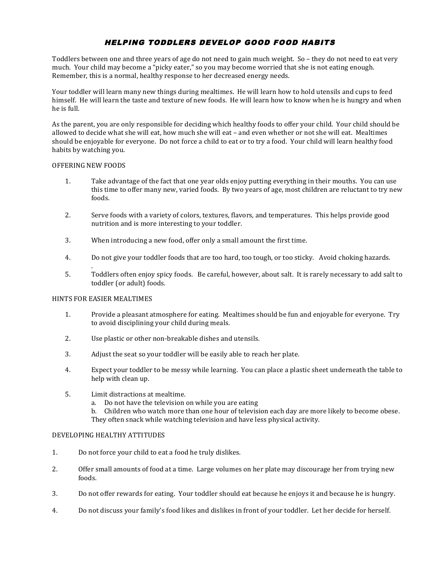# HELPING TODDLERS DEVELOP GOOD FOOD HABITS

Toddlers between one and three years of age do not need to gain much weight. So – they do not need to eat very much. Your child may become a "picky eater," so you may become worried that she is not eating enough. Remember, this is a normal, healthy response to her decreased energy needs.

Your toddler will learn many new things during mealtimes. He will learn how to hold utensils and cups to feed himself. He will learn the taste and texture of new foods. He will learn how to know when he is hungry and when he is full.

As the parent, you are only responsible for deciding which healthy foods to offer your child. Your child should be allowed to decide what she will eat, how much she will eat - and even whether or not she will eat. Mealtimes should be enjoyable for everyone. Do not force a child to eat or to try a food. Your child will learn healthy food habits by watching you.

#### OFFERING NEW FOODS

- 1. Take advantage of the fact that one year olds enjoy putting everything in their mouths. You can use this time to offer many new, varied foods. By two years of age, most children are reluctant to try new foods.
- 2. Serve foods with a variety of colors, textures, flavors, and temperatures. This helps provide good nutrition and is more interesting to your toddler.
- 3. When introducing a new food, offer only a small amount the first time.
- 4. Do not give your toddler foods that are too hard, too tough, or too sticky. Avoid choking hazards.
- . 5. Toddlers often enjoy spicy foods. Be careful, however, about salt. It is rarely necessary to add salt to toddler (or adult) foods.

# HINTS FOR EASIER MEALTIMES

- 1. Provide a pleasant atmosphere for eating. Mealtimes should be fun and enjoyable for everyone. Try to avoid disciplining your child during meals.
- 2. Use plastic or other non-breakable dishes and utensils.
- 3. Adjust the seat so your toddler will be easily able to reach her plate.
- 4. Expect your toddler to be messy while learning. You can place a plastic sheet underneath the table to help with clean up.
- 5. Limit distractions at mealtime.
	- a. Do not have the television on while you are eating

b. Children who watch more than one hour of television each day are more likely to become obese. They often snack while watching television and have less physical activity.

#### DEVELOPING HEALTHY ATTITUDES

- 1. Do not force your child to eat a food he truly dislikes.
- 2. Offer small amounts of food at a time. Large volumes on her plate may discourage her from trying new foods.
- 3. Do not offer rewards for eating. Your toddler should eat because he enjoys it and because he is hungry.
- 4. Do not discuss your family's food likes and dislikes in front of your toddler. Let her decide for herself.